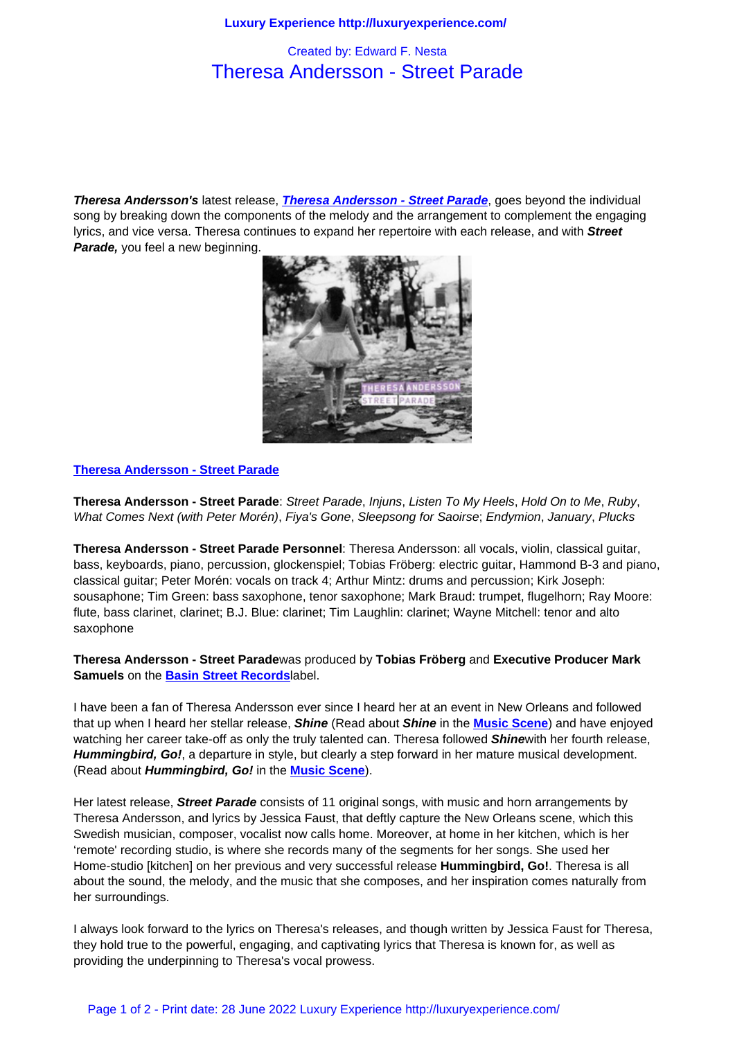## Theresa Andersson - Street Parade

**Theresa Andersson's** latest release, **Theresa Andersson - Street Parade**, goes beyond the individual song by breaking down the components of the melody and the arrangement to complement the engaging lyrics, and vice versa. Theresa continues to expand her repertoire with each release, and with **Street Parade,** you feel a new beginning.



## **Theresa Andersson - Street Parade**

**Theresa Andersson - Street Parade**: [Street Parade](http://www.theresaandersson.com/), Injuns, Listen To My Heels, Hold On to Me, Ruby, What Comes Next (with Peter Morén), Fiya's Gone, Sleepsong for Saoirse; Endymion, January, Plucks

**Theresa Andersson - Street Parade Personnel**: Theresa Andersson: all vocals, violin, classical guitar, bass, keyboards, piano, percussion, glockenspiel; Tobias Fröberg: electric guitar, Hammond B-3 and piano, classical guitar; Peter Morén: vocals on track 4; Arthur Mintz: drums and percussion; Kirk Joseph: sousaphone; Tim Green: bass saxophone, tenor saxophone; Mark Braud: trumpet, flugelhorn; Ray Moore: flute, bass clarinet, clarinet; B.J. Blue: clarinet; Tim Laughlin: clarinet; Wayne Mitchell: tenor and alto saxophone

## **Theresa Andersson - Street Parade**was produced by **Tobias Fröberg** and **Executive Producer Mark Samuels** on the **Basin Street Records**label.

I have been a fan of Theresa Andersson ever since I heard her at an event in New Orleans and followed that up when I heard her stellar release, **Shine** (Read about **Shine** in the **Music Scene**) and have enjoyed watching her car[eer take-off as only the](http://www.basinstreetrecords.com/) truly talented can. Theresa followed **Shine**with her fourth release, **Hummingbird, Go!**, a departure in style, but clearly a step forward in her mature musical development. (Read about **Hummingbird, Go!** in the **Music Scene**).

Her latest release, **Street Parade** consists of 11 original songs, with music and horn arrangements by Theresa Andersson, and lyrics by Jessica Faust, that deftly capture the New Orleans scene, which this Swedish musician, composer, vocalist [now calls home](music_scene/music_artists/theresa_andersson_-_hummingbird%2c_go%21.html). Moreover, at home in her kitchen, which is her 'remote' recording studio, is where she records many of the segments for her songs. She used her Home-studio [kitchen] on her previous and very successful release **Hummingbird, Go!**. Theresa is all about the sound, the melody, and the music that she composes, and her inspiration comes naturally from her surroundings.

I always look forward to the lyrics on Theresa's releases, and though written by Jessica Faust for Theresa, they hold true to the powerful, engaging, and captivating lyrics that Theresa is known for, as well as providing the underpinning to Theresa's vocal prowess.